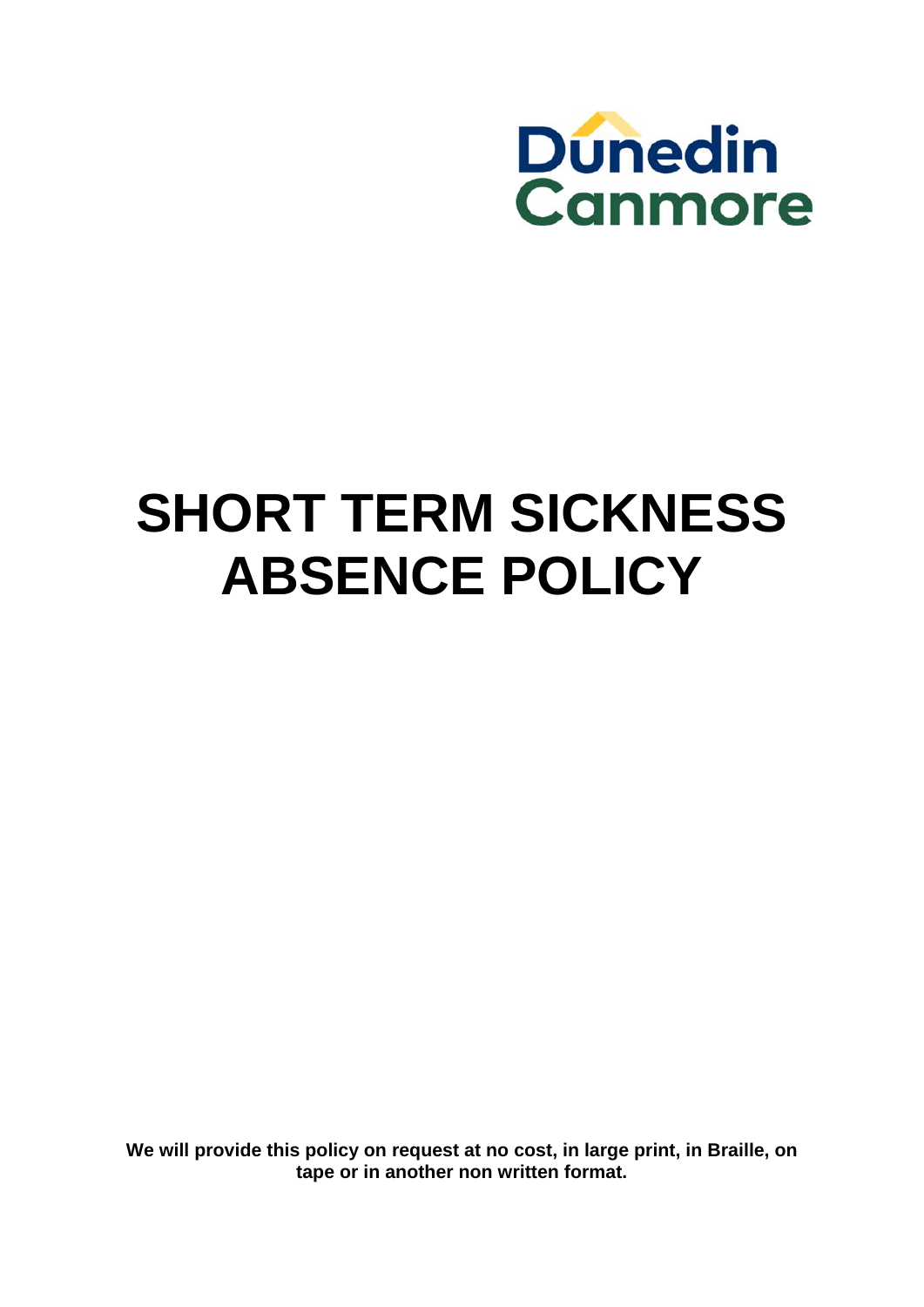

# **SHORT TERM SICKNESS ABSENCE POLICY**

**We will provide this policy on request at no cost, in large print, in Braille, on tape or in another non written format.**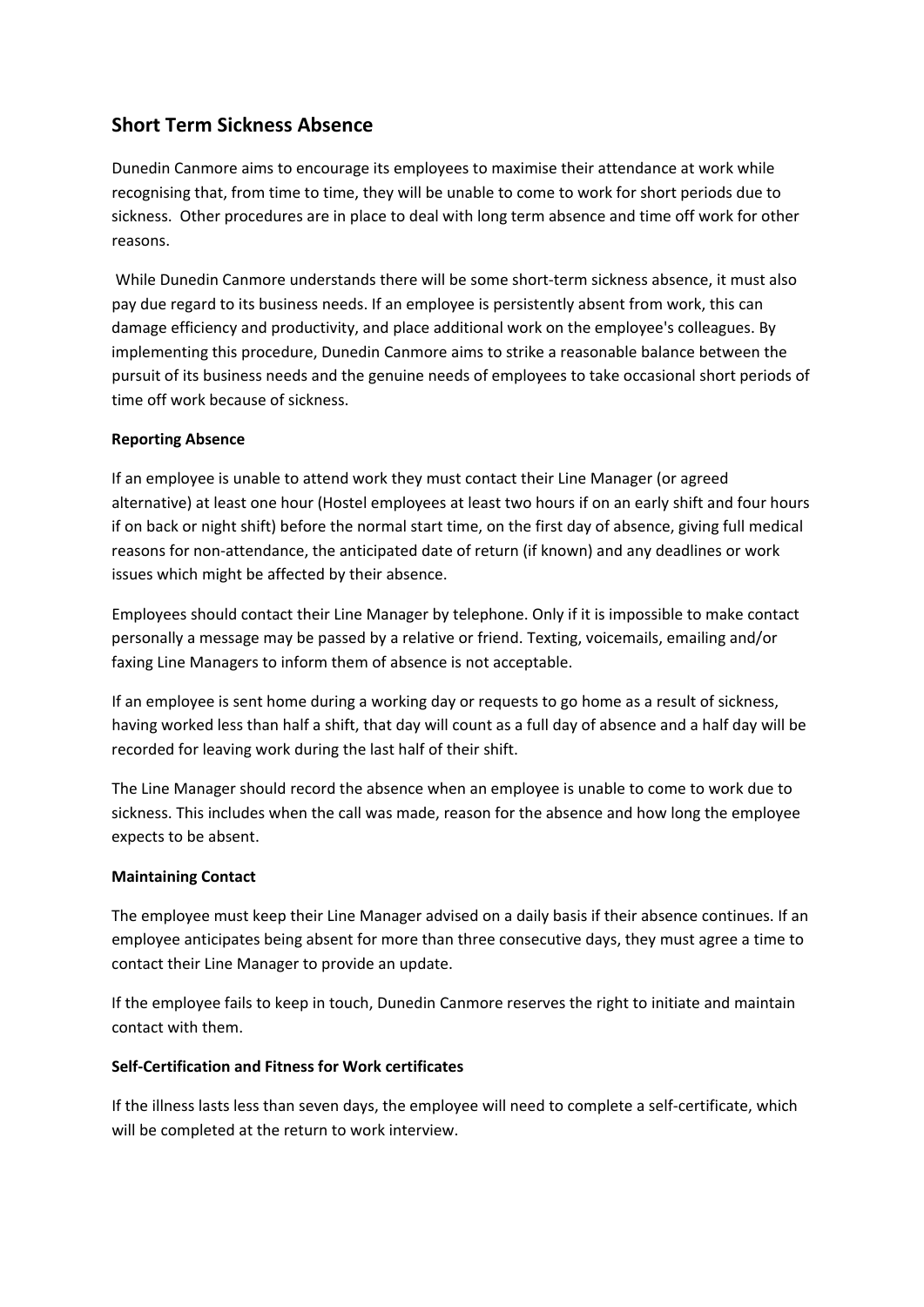# **Short Term Sickness Absence**

Dunedin Canmore aims to encourage its employees to maximise their attendance at work while recognising that, from time to time, they will be unable to come to work for short periods due to sickness. Other procedures are in place to deal with long term absence and time off work for other reasons.

While Dunedin Canmore understands there will be some short-term sickness absence, it must also pay due regard to its business needs. If an employee is persistently absent from work, this can damage efficiency and productivity, and place additional work on the employee's colleagues. By implementing this procedure, Dunedin Canmore aims to strike a reasonable balance between the pursuit of its business needs and the genuine needs of employees to take occasional short periods of time off work because of sickness.

#### **Reporting Absence**

If an employee is unable to attend work they must contact their Line Manager (or agreed alternative) at least one hour (Hostel employees at least two hours if on an early shift and four hours if on back or night shift) before the normal start time, on the first day of absence, giving full medical reasons for non‐attendance, the anticipated date of return (if known) and any deadlines or work issues which might be affected by their absence.

Employees should contact their Line Manager by telephone. Only if it is impossible to make contact personally a message may be passed by a relative or friend. Texting, voicemails, emailing and/or faxing Line Managers to inform them of absence is not acceptable.

If an employee is sent home during a working day or requests to go home as a result of sickness, having worked less than half a shift, that day will count as a full day of absence and a half day will be recorded for leaving work during the last half of their shift.

The Line Manager should record the absence when an employee is unable to come to work due to sickness. This includes when the call was made, reason for the absence and how long the employee expects to be absent.

# **Maintaining Contact**

The employee must keep their Line Manager advised on a daily basis if their absence continues. If an employee anticipates being absent for more than three consecutive days, they must agree a time to contact their Line Manager to provide an update.

If the employee fails to keep in touch, Dunedin Canmore reserves the right to initiate and maintain contact with them.

#### **Self‐Certification and Fitness for Work certificates**

If the illness lasts less than seven days, the employee will need to complete a self‐certificate, which will be completed at the return to work interview.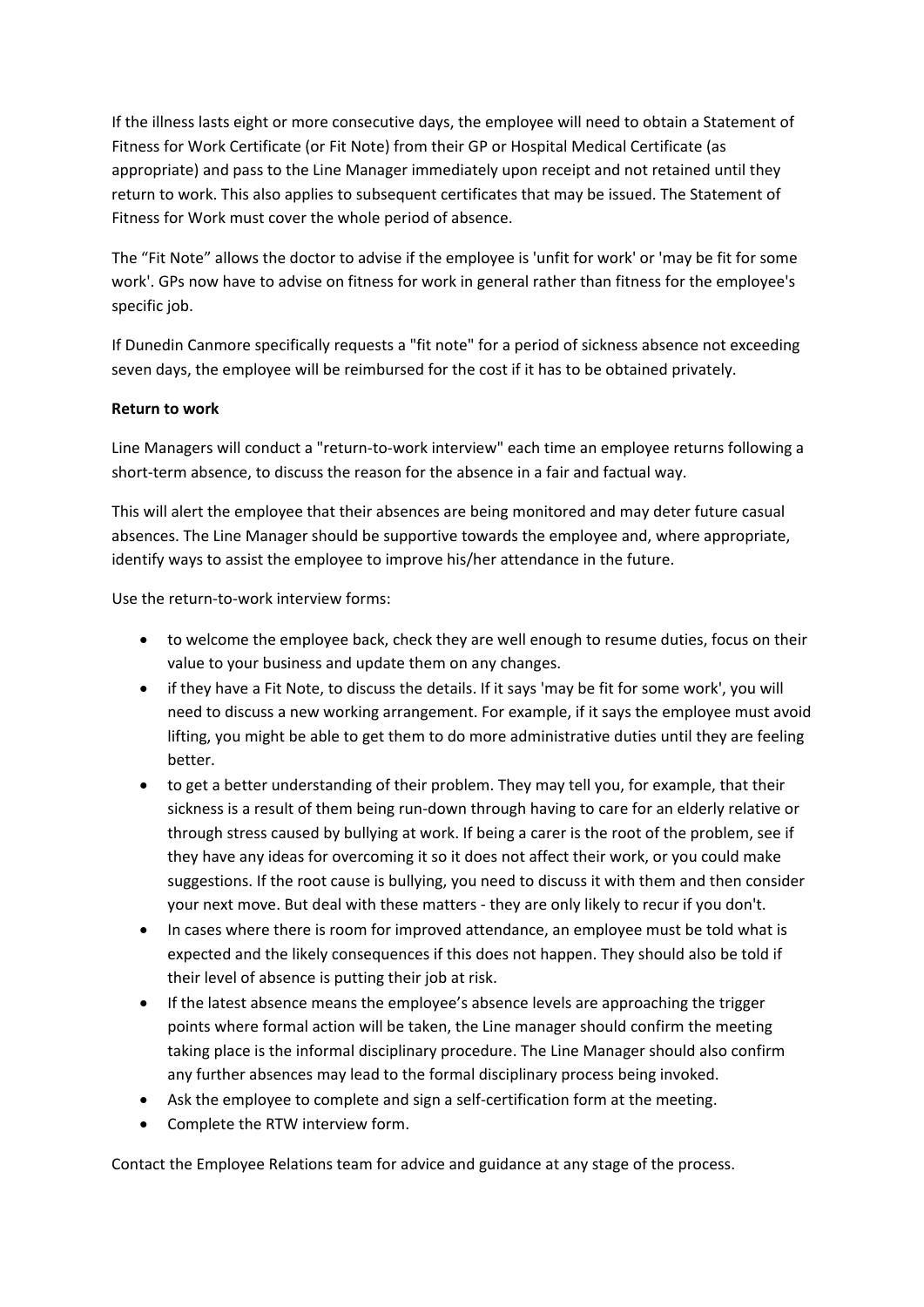If the illness lasts eight or more consecutive days, the employee will need to obtain a Statement of Fitness for Work Certificate (or Fit Note) from their GP or Hospital Medical Certificate (as appropriate) and pass to the Line Manager immediately upon receipt and not retained until they return to work. This also applies to subsequent certificates that may be issued. The Statement of Fitness for Work must cover the whole period of absence.

The "Fit Note" allows the doctor to advise if the employee is 'unfit for work' or 'may be fit for some work'. GPs now have to advise on fitness for work in general rather than fitness for the employee's specific job.

If Dunedin Canmore specifically requests a "fit note" for a period of sickness absence not exceeding seven days, the employee will be reimbursed for the cost if it has to be obtained privately.

# **Return to work**

Line Managers will conduct a "return‐to‐work interview" each time an employee returns following a short-term absence, to discuss the reason for the absence in a fair and factual way.

This will alert the employee that their absences are being monitored and may deter future casual absences. The Line Manager should be supportive towards the employee and, where appropriate, identify ways to assist the employee to improve his/her attendance in the future.

Use the return‐to‐work interview forms:

- to welcome the employee back, check they are well enough to resume duties, focus on their value to your business and update them on any changes.
- if they have a Fit Note, to discuss the details. If it says 'may be fit for some work', you will need to discuss a new working arrangement. For example, if it says the employee must avoid lifting, you might be able to get them to do more administrative duties until they are feeling better.
- to get a better understanding of their problem. They may tell you, for example, that their sickness is a result of them being run-down through having to care for an elderly relative or through stress caused by bullying at work. If being a carer is the root of the problem, see if they have any ideas for overcoming it so it does not affect their work, or you could make suggestions. If the root cause is bullying, you need to discuss it with them and then consider your next move. But deal with these matters ‐ they are only likely to recur if you don't.
- In cases where there is room for improved attendance, an employee must be told what is expected and the likely consequences if this does not happen. They should also be told if their level of absence is putting their job at risk.
- If the latest absence means the employee's absence levels are approaching the trigger points where formal action will be taken, the Line manager should confirm the meeting taking place is the informal disciplinary procedure. The Line Manager should also confirm any further absences may lead to the formal disciplinary process being invoked.
- Ask the employee to complete and sign a self-certification form at the meeting.
- Complete the RTW interview form.

Contact the Employee Relations team for advice and guidance at any stage of the process.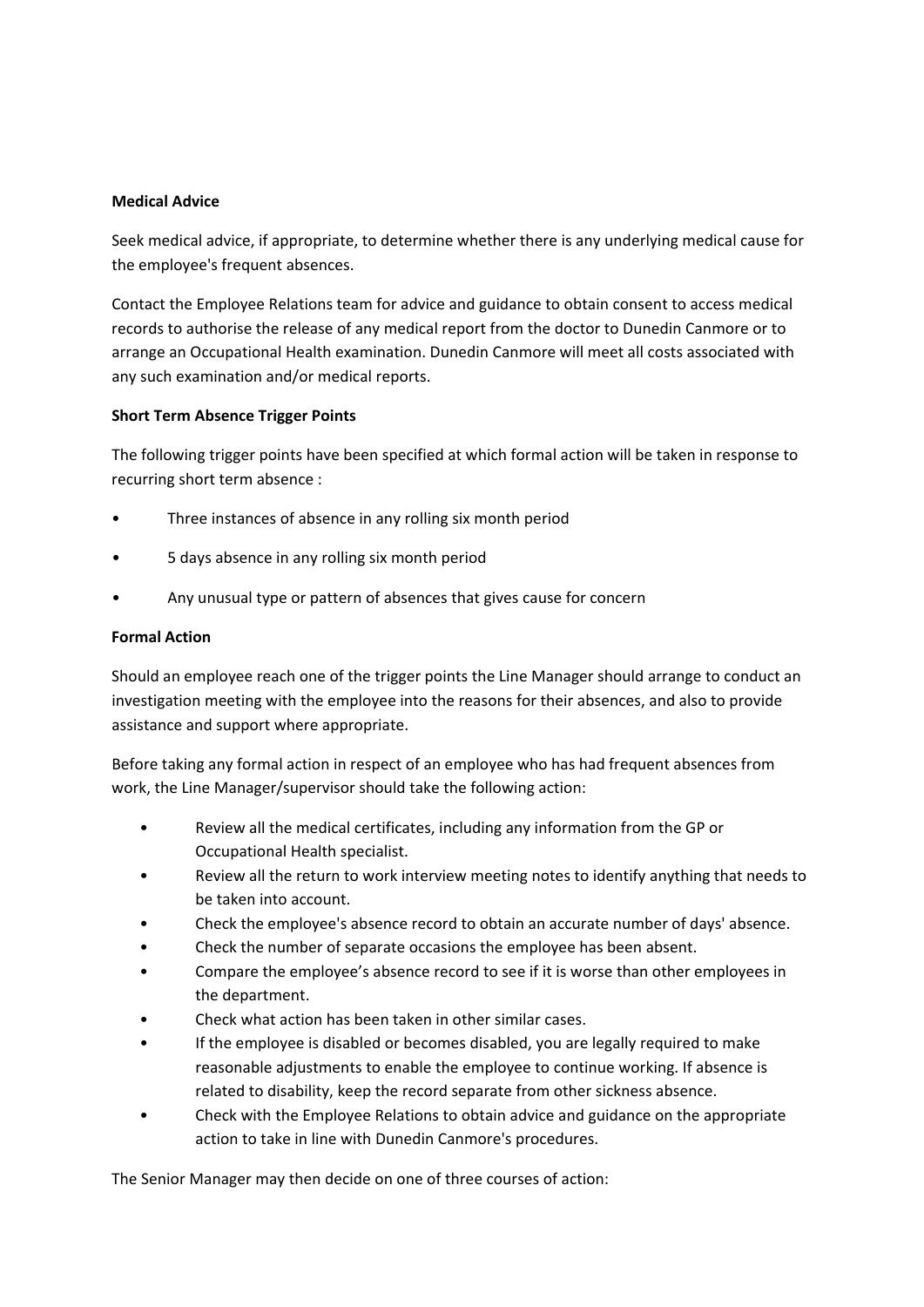#### **Medical Advice**

Seek medical advice, if appropriate, to determine whether there is any underlying medical cause for the employee's frequent absences.

Contact the Employee Relations team for advice and guidance to obtain consent to access medical records to authorise the release of any medical report from the doctor to Dunedin Canmore or to arrange an Occupational Health examination. Dunedin Canmore will meet all costs associated with any such examination and/or medical reports.

#### **Short Term Absence Trigger Points**

The following trigger points have been specified at which formal action will be taken in response to recurring short term absence :

- Three instances of absence in any rolling six month period
- 5 days absence in any rolling six month period
- Any unusual type or pattern of absences that gives cause for concern

#### **Formal Action**

Should an employee reach one of the trigger points the Line Manager should arrange to conduct an investigation meeting with the employee into the reasons for their absences, and also to provide assistance and support where appropriate.

Before taking any formal action in respect of an employee who has had frequent absences from work, the Line Manager/supervisor should take the following action:

- Review all the medical certificates, including any information from the GP or Occupational Health specialist.
- Review all the return to work interview meeting notes to identify anything that needs to be taken into account.
- Check the employee's absence record to obtain an accurate number of days' absence.
- Check the number of separate occasions the employee has been absent.
- Compare the employee's absence record to see if it is worse than other employees in the department.
- Check what action has been taken in other similar cases.
- If the employee is disabled or becomes disabled, you are legally required to make reasonable adjustments to enable the employee to continue working. If absence is related to disability, keep the record separate from other sickness absence.
- Check with the Employee Relations to obtain advice and guidance on the appropriate action to take in line with Dunedin Canmore's procedures.

The Senior Manager may then decide on one of three courses of action: